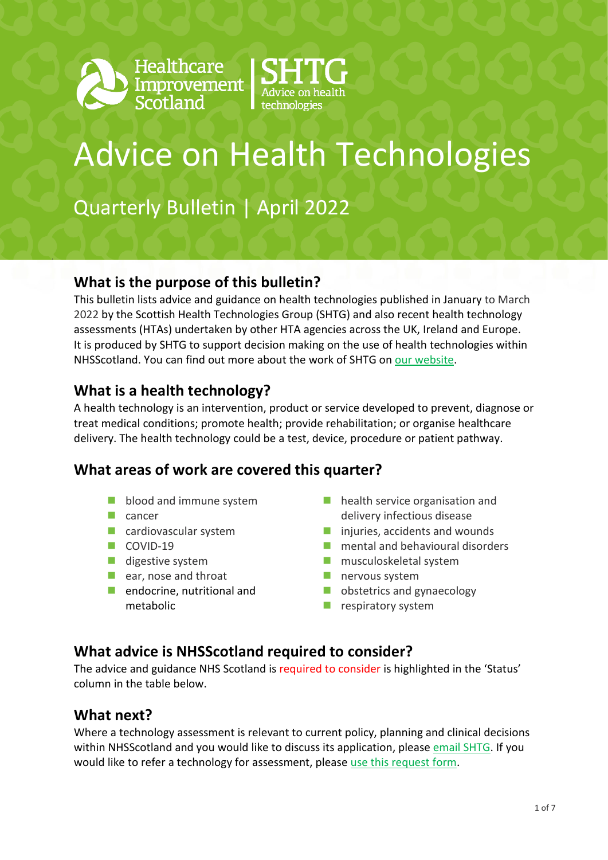



# Advice on Health Technologies

Quarterly Bulletin | April 2022

#### **What is the purpose of this bulletin?**

This bulletin lists advice and guidance on health technologies published in January to March 2022 by the Scottish Health Technologies Group (SHTG) and also recent health technology assessments (HTAs) undertaken by other HTA agencies across the UK, Ireland and Europe. It is produced by SHTG to support decision making on the use of health technologies within NHSScotland. [You can find out more about the work of SHTG on our website.](https://shtg.scot/)

### **What is a health technology?**

A health technology is an intervention, product or service developed to prevent, diagnose or treat medical conditions; promote health; provide rehabilitation; or organise healthcare delivery. The health technology could be a test, device, procedure or patient pathway.

#### **What areas of work are covered this quarter?**

- **blood and immune system**
- $\Box$  cancer
- cardiovascular system
- COVID-19
- $\blacksquare$  digestive system
- ear, nose and throat
- $\blacksquare$  endocrine, nutritional and metabolic
- **health service organisation and** delivery infectious disease
- $\blacksquare$  injuries, accidents and wounds
- $\blacksquare$  mental and behavioural disorders
- **n** musculoskeletal system
- nervous system
- **D** obstetrics and gynaecology
- $\blacksquare$  respiratory system

### **What advice is NHSScotland required to consider?**

The advice and guidance NHS Scotland is required to consider is highlighted in the 'Status' column in the table below.

### **What next?**

Where a technology assessment is relevant to current policy, planning and clinical decisions within NHSScotland and you would like to discuss its application, please [email SHTG.](mailto:his.shtg@nhs.scot) If you would like to refer a technology for assessment, please [use this request form.](https://shtg.scot/request-advice/)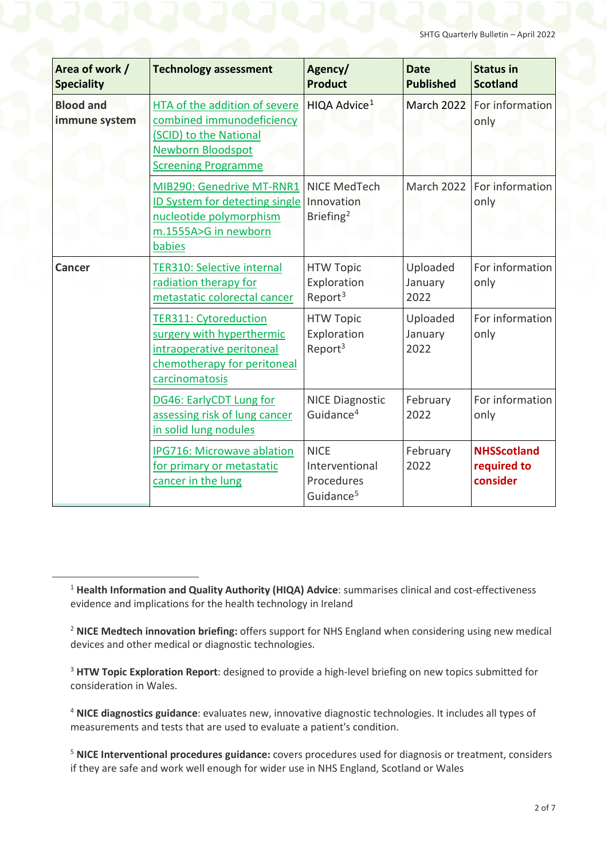| Area of work /<br><b>Speciality</b> | <b>Technology assessment</b>                                                                                                                          | Agency/<br><b>Product</b>                                            | <b>Date</b><br><b>Published</b> | <b>Status in</b><br><b>Scotland</b>           |
|-------------------------------------|-------------------------------------------------------------------------------------------------------------------------------------------------------|----------------------------------------------------------------------|---------------------------------|-----------------------------------------------|
| <b>Blood and</b><br>immune system   | <b>HTA of the addition of severe</b><br>combined immunodeficiency<br>(SCID) to the National<br><b>Newborn Bloodspot</b><br><b>Screening Programme</b> | HIQA Advice <sup>1</sup>                                             | <b>March 2022</b>               | For information<br>only                       |
|                                     | MIB290: Genedrive MT-RNR1<br>ID System for detecting single<br>nucleotide polymorphism<br>m.1555A>G in newborn<br>babies                              | <b>NICE MedTech</b><br>Innovation<br>Briefing <sup>2</sup>           | <b>March 2022</b>               | For information<br>only                       |
| <b>Cancer</b>                       | <b>TER310: Selective internal</b><br>radiation therapy for<br>metastatic colorectal cancer                                                            | <b>HTW Topic</b><br>Exploration<br>Report <sup>3</sup>               | Uploaded<br>January<br>2022     | For information<br>only                       |
|                                     | <b>TER311: Cytoreduction</b><br>surgery with hyperthermic<br>intraoperative peritoneal<br>chemotherapy for peritoneal<br>carcinomatosis               | <b>HTW Topic</b><br>Exploration<br>Report <sup>3</sup>               | Uploaded<br>January<br>2022     | For information<br>only                       |
|                                     | DG46: EarlyCDT Lung for<br>assessing risk of lung cancer<br>in solid lung nodules                                                                     | <b>NICE Diagnostic</b><br>Guidance <sup>4</sup>                      | February<br>2022                | For information<br>only                       |
|                                     | <b>IPG716: Microwave ablation</b><br>for primary or metastatic<br>cancer in the lung                                                                  | <b>NICE</b><br>Interventional<br>Procedures<br>Guidance <sup>5</sup> | February<br>2022                | <b>NHSScotland</b><br>required to<br>consider |

<span id="page-1-0"></span> <sup>1</sup> **Health Information and Quality Authority (HIQA) Advice**: summarises clinical and cost-effectiveness evidence and implications for the health technology in Ireland

<span id="page-1-1"></span><sup>2</sup> **NICE Medtech innovation briefing:** offers support for NHS England when considering using new medical devices and other medical or diagnostic technologies.

<span id="page-1-2"></span><sup>3</sup> **HTW Topic Exploration Report**: designed to provide a high-level briefing on new topics submitted for consideration in Wales.

<span id="page-1-3"></span><sup>4</sup> **NICE diagnostics guidance**: evaluates new, innovative diagnostic technologies. It includes all types of measurements and tests that are used to evaluate a patient's condition.

<span id="page-1-4"></span><sup>5</sup> **NICE Interventional procedures guidance:** covers procedures used for diagnosis or treatment, considers if they are safe and work well enough for wider use in NHS England, Scotland or Wales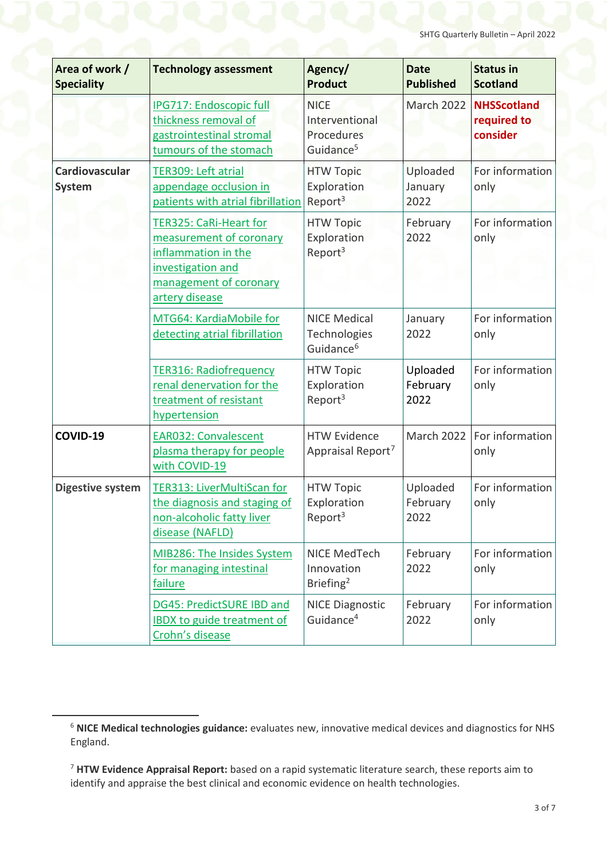| Area of work /<br><b>Speciality</b>    | <b>Technology assessment</b>                                                                                                                     | Agency/<br><b>Product</b>                                                   | <b>Date</b><br><b>Published</b> | <b>Status in</b><br><b>Scotland</b>           |
|----------------------------------------|--------------------------------------------------------------------------------------------------------------------------------------------------|-----------------------------------------------------------------------------|---------------------------------|-----------------------------------------------|
|                                        | IPG717: Endoscopic full<br>thickness removal of<br>gastrointestinal stromal<br>tumours of the stomach                                            | <b>NICE</b><br>Interventional<br><b>Procedures</b><br>Guidance <sup>5</sup> | <b>March 2022</b>               | <b>NHSScotland</b><br>required to<br>consider |
| <b>Cardiovascular</b><br><b>System</b> | TER309: Left atrial<br>appendage occlusion in<br>patients with atrial fibrillation                                                               | <b>HTW Topic</b><br>Exploration<br>Report <sup>3</sup>                      | Uploaded<br>January<br>2022     | For information<br>only                       |
|                                        | <b>TER325: CaRi-Heart for</b><br>measurement of coronary<br>inflammation in the<br>investigation and<br>management of coronary<br>artery disease | <b>HTW Topic</b><br>Exploration<br>Report <sup>3</sup>                      | February<br>2022                | For information<br>only                       |
|                                        | MTG64: KardiaMobile for<br>detecting atrial fibrillation                                                                                         | <b>NICE Medical</b><br>Technologies<br>Guidance <sup>6</sup>                | January<br>2022                 | For information<br>only                       |
|                                        | <b>TER316: Radiofrequency</b><br>renal denervation for the<br>treatment of resistant<br>hypertension                                             | <b>HTW Topic</b><br>Exploration<br>Report <sup>3</sup>                      | Uploaded<br>February<br>2022    | For information<br>only                       |
| COVID-19                               | <b>EAR032: Convalescent</b><br>plasma therapy for people<br>with COVID-19                                                                        | <b>HTW Evidence</b><br>Appraisal Report <sup>7</sup>                        | <b>March 2022</b>               | For information<br>only                       |
| <b>Digestive system</b>                | TER313: LiverMultiScan for<br>the diagnosis and staging of<br>non-alcoholic fatty liver<br>disease (NAFLD)                                       | <b>HTW Topic</b><br>Exploration<br>Report <sup>3</sup>                      | Uploaded<br>February<br>2022    | For information<br>only                       |
|                                        | MIB286: The Insides System<br>for managing intestinal<br>failure                                                                                 | NICE MedTech<br>Innovation<br>Briefing <sup>2</sup>                         | February<br>2022                | For information<br>only                       |
|                                        | DG45: PredictSURE IBD and<br><b>IBDX</b> to guide treatment of<br>Crohn's disease                                                                | <b>NICE Diagnostic</b><br>Guidance <sup>4</sup>                             | February<br>2022                | For information<br>only                       |

<span id="page-2-0"></span> <sup>6</sup> **NICE Medical technologies guidance:** evaluates new, innovative medical devices and diagnostics for NHS England.

<span id="page-2-1"></span><sup>7</sup> **HTW Evidence Appraisal Report:** based on a rapid systematic literature search, these reports aim to identify and appraise the best clinical and economic evidence on health technologies.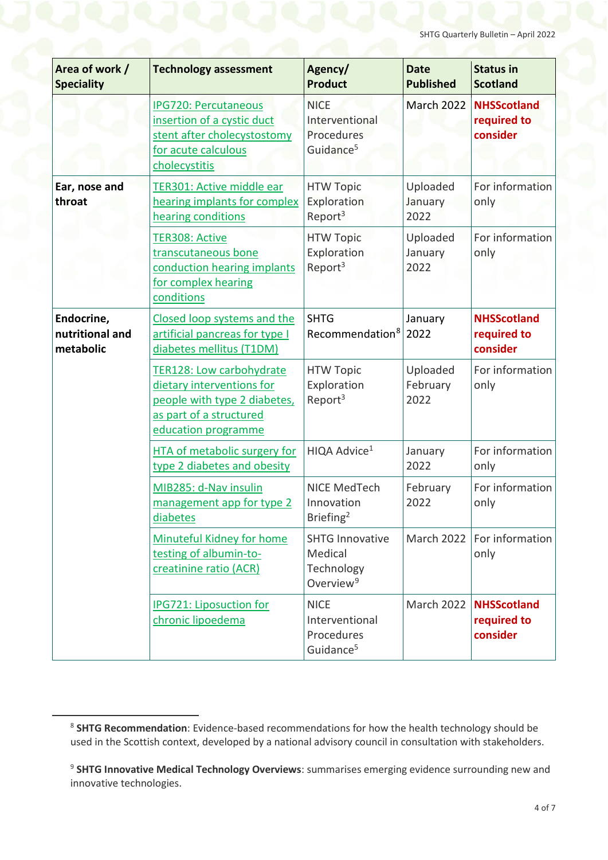| Area of work /<br><b>Speciality</b>        | <b>Technology assessment</b>                                                                                                            | Agency/<br><b>Product</b>                                                | <b>Date</b><br><b>Published</b> | <b>Status in</b><br><b>Scotland</b>           |
|--------------------------------------------|-----------------------------------------------------------------------------------------------------------------------------------------|--------------------------------------------------------------------------|---------------------------------|-----------------------------------------------|
|                                            | <b>IPG720: Percutaneous</b><br>insertion of a cystic duct<br>stent after cholecystostomy<br>for acute calculous<br>cholecystitis        | <b>NICE</b><br>Interventional<br>Procedures<br>Guidance <sup>5</sup>     | March 2022                      | <b>NHSScotland</b><br>required to<br>consider |
| Ear, nose and<br>throat                    | TER301: Active middle ear<br>hearing implants for complex<br>hearing conditions                                                         | <b>HTW Topic</b><br>Exploration<br>Report <sup>3</sup>                   | Uploaded<br>January<br>2022     | For information<br>only                       |
|                                            | <b>TER308: Active</b><br>transcutaneous bone<br>conduction hearing implants<br>for complex hearing<br>conditions                        | <b>HTW Topic</b><br>Exploration<br>Report <sup>3</sup>                   | Uploaded<br>January<br>2022     | For information<br>only                       |
| Endocrine,<br>nutritional and<br>metabolic | Closed loop systems and the<br>artificial pancreas for type I<br>diabetes mellitus (T1DM)                                               | <b>SHTG</b><br>Recommendation <sup>8</sup>                               | January<br>2022                 | <b>NHSScotland</b><br>required to<br>consider |
|                                            | TER128: Low carbohydrate<br>dietary interventions for<br>people with type 2 diabetes,<br>as part of a structured<br>education programme | <b>HTW Topic</b><br>Exploration<br>Report <sup>3</sup>                   | Uploaded<br>February<br>2022    | For information<br>only                       |
|                                            | HTA of metabolic surgery for<br>type 2 diabetes and obesity                                                                             | HIQA Advice <sup>1</sup>                                                 | January<br>2022                 | For information<br>only                       |
|                                            | MIB285: d-Nav insulin<br>management app for type 2<br>diabetes                                                                          | NICE MedTech<br>Innovation<br>Briefing <sup>2</sup>                      | February<br>2022                | For information<br>only                       |
|                                            | Minuteful Kidney for home<br>testing of albumin-to-<br>creatinine ratio (ACR)                                                           | <b>SHTG Innovative</b><br>Medical<br>Technology<br>Overview <sup>9</sup> | <b>March 2022</b>               | For information<br>only                       |
|                                            | <b>IPG721: Liposuction for</b><br>chronic lipoedema                                                                                     | <b>NICE</b><br>Interventional<br>Procedures<br>Guidance <sup>5</sup>     | <b>March 2022</b>               | <b>NHSScotland</b><br>required to<br>consider |

<span id="page-3-0"></span> <sup>8</sup> **SHTG Recommendation**: Evidence-based recommendations for how the health technology should be used in the Scottish context, developed by a national advisory council in consultation with stakeholders.

<span id="page-3-1"></span><sup>9</sup> **SHTG Innovative Medical Technology Overviews**: summarises emerging evidence surrounding new and innovative technologies.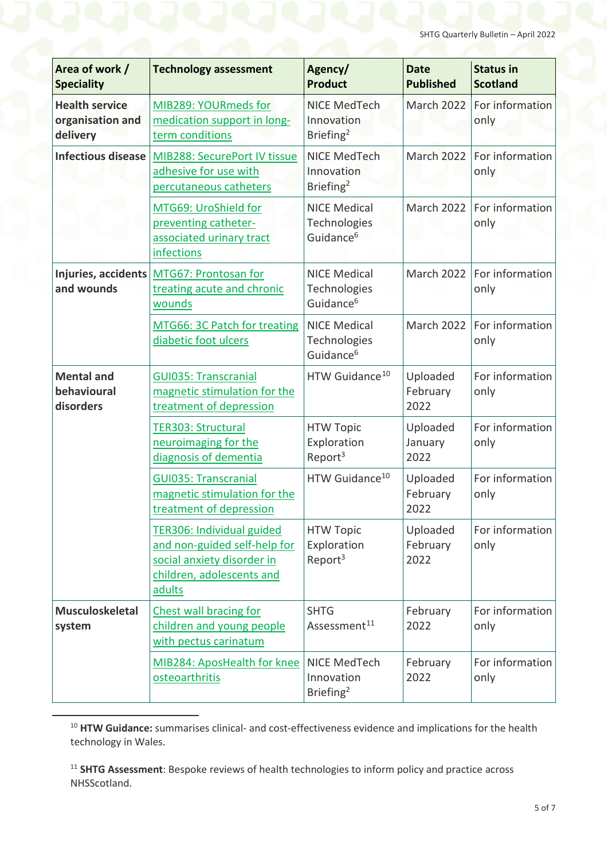| Area of work /<br><b>Speciality</b>                   | <b>Technology assessment</b>                                                                                                   | Agency/<br><b>Product</b>                                           | <b>Date</b><br><b>Published</b> | <b>Status in</b><br><b>Scotland</b> |
|-------------------------------------------------------|--------------------------------------------------------------------------------------------------------------------------------|---------------------------------------------------------------------|---------------------------------|-------------------------------------|
| <b>Health service</b><br>organisation and<br>delivery | MIB289: YOURmeds for<br>medication support in long-<br>term conditions                                                         | <b>NICE MedTech</b><br>Innovation<br>Briefing <sup>2</sup>          | <b>March 2022</b>               | For information<br>only             |
| <b>Infectious disease</b>                             | MIB288: SecurePort IV tissue<br>adhesive for use with<br>percutaneous catheters                                                | <b>NICE MedTech</b><br>Innovation<br>Briefing <sup>2</sup>          | March 2022                      | For information<br>only             |
|                                                       | MTG69: UroShield for<br>preventing catheter-<br>associated urinary tract<br>infections                                         | <b>NICE Medical</b><br><b>Technologies</b><br>Guidance <sup>6</sup> | March 2022                      | For information<br>only             |
| Injuries, accidents<br>and wounds                     | MTG67: Prontosan for<br>treating acute and chronic<br>wounds                                                                   | <b>NICE Medical</b><br>Technologies<br>Guidance <sup>6</sup>        | <b>March 2022</b>               | For information<br>only             |
|                                                       | MTG66: 3C Patch for treating<br>diabetic foot ulcers                                                                           | <b>NICE Medical</b><br>Technologies<br>Guidance <sup>6</sup>        | <b>March 2022</b>               | For information<br>only             |
| <b>Mental and</b><br>behavioural<br>disorders         | <b>GUI035: Transcranial</b><br>magnetic stimulation for the<br>treatment of depression                                         | HTW Guidance <sup>10</sup>                                          | Uploaded<br>February<br>2022    | For information<br>only             |
|                                                       | <b>TER303: Structural</b><br>neuroimaging for the<br>diagnosis of dementia                                                     | <b>HTW Topic</b><br>Exploration<br>Report <sup>3</sup>              | Uploaded<br>January<br>2022     | For information<br>only             |
|                                                       | <b>GUI035: Transcranial</b><br>magnetic stimulation for the<br>treatment of depression                                         | HTW Guidance <sup>10</sup>                                          | Uploaded<br>February<br>2022    | For information<br>only             |
|                                                       | TER306: Individual guided<br>and non-guided self-help for<br>social anxiety disorder in<br>children, adolescents and<br>adults | <b>HTW Topic</b><br>Exploration<br>Report <sup>3</sup>              | Uploaded<br>February<br>2022    | For information<br>only             |
| <b>Musculoskeletal</b><br>system                      | Chest wall bracing for<br>children and young people<br>with pectus carinatum                                                   | <b>SHTG</b><br>Assessment <sup>11</sup>                             | February<br>2022                | For information<br>only             |
|                                                       | MIB284: AposHealth for knee<br>osteoarthritis                                                                                  | NICE MedTech<br>Innovation<br>Briefing <sup>2</sup>                 | February<br>2022                | For information<br>only             |

<span id="page-4-0"></span> 10 **HTW Guidance:** summarises clinical- and cost-effectiveness evidence and implications for the health technology in Wales.

<span id="page-4-1"></span><sup>11</sup> **SHTG Assessment**: Bespoke reviews of health technologies to inform policy and practice across NHSScotland.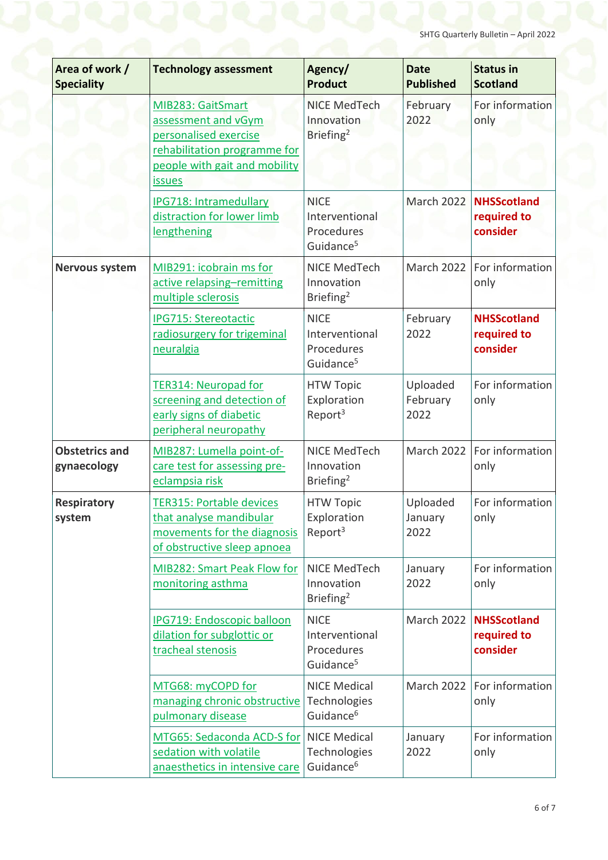| Area of work /<br><b>Speciality</b>  | <b>Technology assessment</b>                                                                                                                 | Agency/<br><b>Product</b>                                            | <b>Date</b><br><b>Published</b> | <b>Status in</b><br><b>Scotland</b>           |
|--------------------------------------|----------------------------------------------------------------------------------------------------------------------------------------------|----------------------------------------------------------------------|---------------------------------|-----------------------------------------------|
|                                      | MIB283: GaitSmart<br>assessment and vGym<br>personalised exercise<br>rehabilitation programme for<br>people with gait and mobility<br>issues | <b>NICE MedTech</b><br>Innovation<br>Briefing <sup>2</sup>           | February<br>2022                | For information<br>only                       |
|                                      | <b>IPG718: Intramedullary</b><br>distraction for lower limb<br>lengthening                                                                   | <b>NICE</b><br>Interventional<br>Procedures<br>Guidance <sup>5</sup> | <b>March 2022</b>               | <b>NHSScotland</b><br>required to<br>consider |
| <b>Nervous system</b>                | MIB291: icobrain ms for<br>active relapsing-remitting<br>multiple sclerosis                                                                  | NICE MedTech<br>Innovation<br>Briefing <sup>2</sup>                  | <b>March 2022</b>               | For information<br>only                       |
|                                      | IPG715: Stereotactic<br>radiosurgery for trigeminal<br>neuralgia                                                                             | <b>NICE</b><br>Interventional<br>Procedures<br>Guidance <sup>5</sup> | February<br>2022                | <b>NHSScotland</b><br>required to<br>consider |
|                                      | <b>TER314: Neuropad for</b><br>screening and detection of<br>early signs of diabetic<br>peripheral neuropathy                                | <b>HTW Topic</b><br>Exploration<br>Report <sup>3</sup>               | Uploaded<br>February<br>2022    | For information<br>only                       |
| <b>Obstetrics and</b><br>gynaecology | MIB287: Lumella point-of-<br>care test for assessing pre-<br>eclampsia risk                                                                  | NICE MedTech<br>Innovation<br>Briefing <sup>2</sup>                  | <b>March 2022</b>               | For information<br>only                       |
| <b>Respiratory</b><br>system         | <b>TER315: Portable devices</b><br>that analyse mandibular<br>movements for the diagnosis<br>of obstructive sleep apnoea                     | <b>HTW Topic</b><br>Exploration<br>Report <sup>3</sup>               | Uploaded<br>January<br>2022     | For information<br>only                       |
|                                      | MIB282: Smart Peak Flow for<br>monitoring asthma                                                                                             | NICE MedTech<br>Innovation<br>Briefing <sup>2</sup>                  | January<br>2022                 | For information<br>only                       |
|                                      | IPG719: Endoscopic balloon<br>dilation for subglottic or<br>tracheal stenosis                                                                | <b>NICE</b><br>Interventional<br>Procedures<br>Guidance <sup>5</sup> | March 2022                      | <b>NHSScotland</b><br>required to<br>consider |
|                                      | MTG68: myCOPD for<br>managing chronic obstructive<br>pulmonary disease                                                                       | <b>NICE Medical</b><br>Technologies<br>Guidance <sup>6</sup>         | <b>March 2022</b>               | For information<br>only                       |
|                                      | MTG65: Sedaconda ACD-S for<br>sedation with volatile<br>anaesthetics in intensive care                                                       | <b>NICE Medical</b><br>Technologies<br>Guidance <sup>6</sup>         | January<br>2022                 | For information<br>only                       |